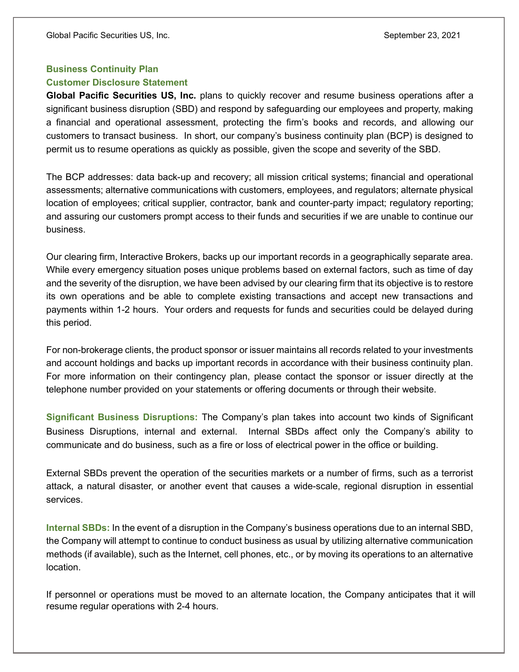## Business Continuity Plan

## Customer Disclosure Statement

Global Pacific Securities US, Inc. plans to quickly recover and resume business operations after a significant business disruption (SBD) and respond by safeguarding our employees and property, making a financial and operational assessment, protecting the firm's books and records, and allowing our customers to transact business. In short, our company's business continuity plan (BCP) is designed to permit us to resume operations as quickly as possible, given the scope and severity of the SBD.

The BCP addresses: data back-up and recovery; all mission critical systems; financial and operational assessments; alternative communications with customers, employees, and regulators; alternate physical location of employees; critical supplier, contractor, bank and counter-party impact; regulatory reporting; and assuring our customers prompt access to their funds and securities if we are unable to continue our business.

Our clearing firm, Interactive Brokers, backs up our important records in a geographically separate area. While every emergency situation poses unique problems based on external factors, such as time of day and the severity of the disruption, we have been advised by our clearing firm that its objective is to restore its own operations and be able to complete existing transactions and accept new transactions and payments within 1-2 hours. Your orders and requests for funds and securities could be delayed during this period.

For non-brokerage clients, the product sponsor or issuer maintains all records related to your investments and account holdings and backs up important records in accordance with their business continuity plan. For more information on their contingency plan, please contact the sponsor or issuer directly at the telephone number provided on your statements or offering documents or through their website.

Significant Business Disruptions: The Company's plan takes into account two kinds of Significant Business Disruptions, internal and external. Internal SBDs affect only the Company's ability to communicate and do business, such as a fire or loss of electrical power in the office or building.

External SBDs prevent the operation of the securities markets or a number of firms, such as a terrorist attack, a natural disaster, or another event that causes a wide-scale, regional disruption in essential services.

Internal SBDs: In the event of a disruption in the Company's business operations due to an internal SBD, the Company will attempt to continue to conduct business as usual by utilizing alternative communication methods (if available), such as the Internet, cell phones, etc., or by moving its operations to an alternative location.

If personnel or operations must be moved to an alternate location, the Company anticipates that it will resume regular operations with 2-4 hours.